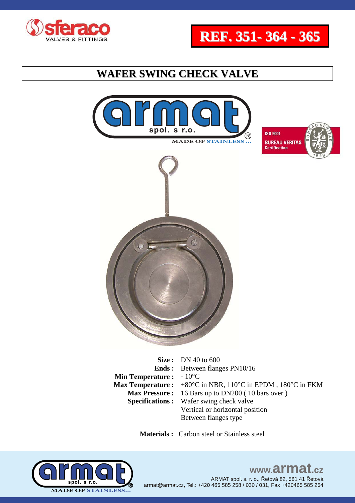





**Ends : Min Temperature :** - 10<sup>°</sup>C **Max Temperature :**  +80°C in NBR, 110°C in EPDM , 180°C in FKM Between flanges PN10/16 **Max Pressure :** 16 Bars up to DN200 ( 10 bars over ) **Specifications :** Wafer swing check valve Vertical or horizontal position Between flanges type

 **Materials :** Carbon steel or Stainless steel

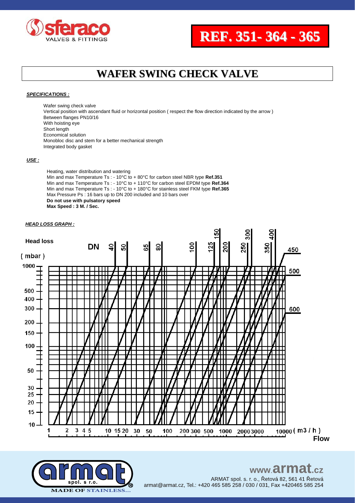



#### *SPECIFICATIONS :*

Wafer swing check valve Vertical position with ascendant fluid or horizontal position ( respect the flow direction indicated by the arrow ) Between flanges PN10/16 With hoisting eye Short length Economical solution Monobloc disc and stem for a better mechanical strength Integrated body gasket

#### *USE :*

Heating, water distribution and watering Min and max Temperature Ts : - 10°C to + 80°C for carbon steel NBR type **Ref.351** Min and max Temperature Ts : - 10°C to + 110°C for carbon steel EPDM type **Ref.364** Min and max Temperature Ts : - 10°C to + 180°C for stainless steel FKM type **Ref.365** Max Pressure Ps : 16 bars up to DN 200 included and 10 bars over **Do not use with pulsatory speed Max Speed : 3 M. / Sec.**

#### *HEAD LOSS GRAPH :*



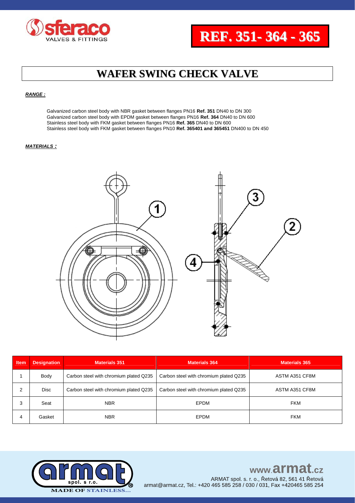

#### *RANGE :*

Galvanized carbon steel body with NBR gasket between flanges PN16 **Ref. 351** DN40 to DN 300 Galvanized carbon steel body with EPDM gasket between flanges PN16 **Ref. 364** DN40 to DN 600 Stainless steel body with FKM gasket between flanges PN16 **Ref. 365** DN40 to DN 600 Stainless steel body with FKM gasket between flanges PN10 **Ref. 365401 and 365451** DN400 to DN 450

#### *MATERIALS :*



| <b>Item</b> | <b>Designation</b> | <b>Materials 351</b>                   | <b>Materials 364</b>                   | <b>Materials 365</b> |  |  |  |
|-------------|--------------------|----------------------------------------|----------------------------------------|----------------------|--|--|--|
|             | Body               | Carbon steel with chromium plated Q235 | Carbon steel with chromium plated Q235 | ASTM A351 CF8M       |  |  |  |
|             | <b>Disc</b>        | Carbon steel with chromium plated Q235 | Carbon steel with chromium plated Q235 | ASTM A351 CF8M       |  |  |  |
| 3           | Seat               | EPDM<br><b>NBR</b>                     |                                        | <b>FKM</b>           |  |  |  |
| 4           | Gasket             | <b>NBR</b>                             | EPDM                                   | <b>FKM</b>           |  |  |  |



## www.armat.cz

ARMAT spol. s. r. o., Řetová 82, 561 41 Řetová armat@armat.cz, Tel.: +420 465 585 258 / 030 / 031, Fax +420465 585 254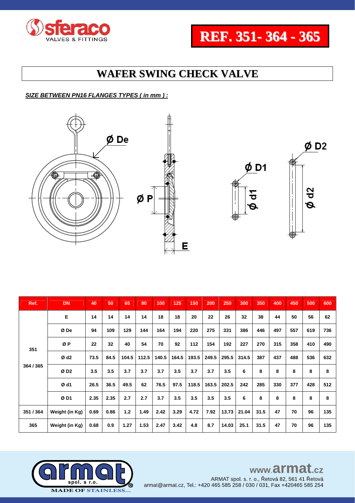



### *SIZE BETWEEN PN16 FLANGES TYPES ( in mm ) :*







| Ref.      | <b>DN</b>        | 40   | 50   | 65    | 80    | 100   | 125   | 150   | 200   | 250   | 300   | 350  | 400 | 450 | 500 | 600 |
|-----------|------------------|------|------|-------|-------|-------|-------|-------|-------|-------|-------|------|-----|-----|-----|-----|
|           | Е                | 14   | 14   | 14    | 14    | 18    | 18    | 20    | 22    | 26    | 32    | 38   | 44  | 50  | 56  | 62  |
|           | Ø De             | 94   | 109  | 129   | 144   | 164   | 194   | 220   | 275   | 331   | 386   | 446  | 497 | 557 | 619 | 736 |
| 351       | ØP               | 22   | 32   | 40    | 54    | 70    | 92    | 112   | 154   | 192   | 227   | 270  | 315 | 358 | 410 | 490 |
|           | Ø d <sub>2</sub> | 73.5 | 84.5 | 104.5 | 112.5 | 140.5 | 164.5 | 193.5 | 249.5 | 295.5 | 314.5 | 387  | 437 | 488 | 536 | 632 |
| 364 / 365 | ØD <sub>2</sub>  | 3.5  | 3.5  | 3.7   | 3.7   | 3.7   | 3.5   | 3.7   | 3.7   | 3.5   | 6     | 8    | 8   | 8   | 8   | 8   |
|           | Ø d1             | 26.5 | 36.5 | 49.5  | 62    | 76.5  | 97.5  | 118.5 | 163.5 | 202.5 | 242   | 285  | 330 | 377 | 428 | 512 |
|           | ØD1              | 2.35 | 2.35 | 2.7   | 2.7   | 3.7   | 3.5   | 3.5   | 3.5   | 3.5   | 6     | 8    | 8   | 8   | 8   | 8   |
| 351 / 364 | Weight (in Kg)   | 0.69 | 0.86 | $1.2$ | 1.49  | 2.42  | 3.29  | 4.72  | 7.92  | 13.73 | 21.04 | 31.5 | 47  | 70  | 96  | 135 |
| 365       | Weight (in Kg)   | 0.68 | 0.9  | 1.27  | 1.53  | 2.47  | 3.42  | 4.8   | 8.7   | 14.03 | 25.1  | 31.5 | 47  | 70  | 96  | 135 |

E



## www.armat.cz

ARMAT spol. s. r. o., Řetová 82, 561 41 Řetová armat@armat.cz, Tel.: +420 465 585 258 / 030 / 031, Fax +420465 585 254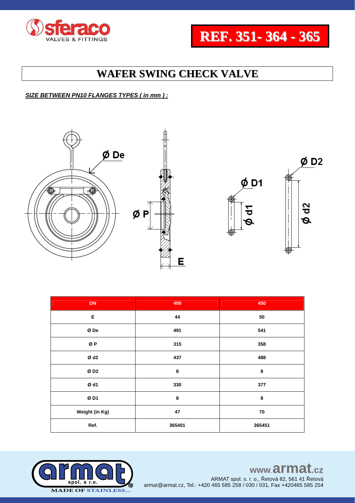



### *SIZE BETWEEN PN10 FLANGES TYPES ( in mm ) :*





| <b>DN</b>      | 400    | 450    |  |  |  |  |
|----------------|--------|--------|--|--|--|--|
| Е              | 44     | 50     |  |  |  |  |
| $\emptyset$ De | 491    | 541    |  |  |  |  |
| ØP             | 315    | 358    |  |  |  |  |
| Ød2            | 437    | 488    |  |  |  |  |
| ØD2            | 8      | 8      |  |  |  |  |
| Ød1            | 330    | 377    |  |  |  |  |
| ØD1            | 8      | 8      |  |  |  |  |
| Weight (in Kg) | 47     | 70     |  |  |  |  |
| Ref.           | 365401 | 365451 |  |  |  |  |

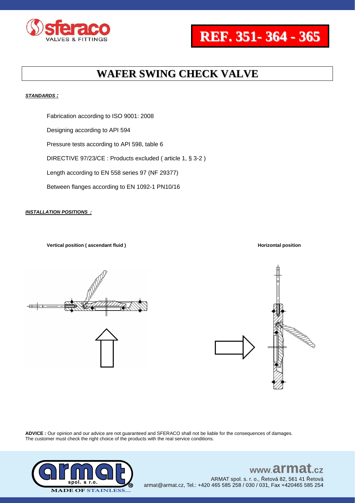



#### *STANDARDS :*

Fabrication according to ISO 9001: 2008 Designing according to API 594 Pressure tests according to API 598, table 6 DIRECTIVE 97/23/CE : Products excluded ( article 1, § 3-2 ) Length according to EN 558 series 97 (NF 29377) Between flanges according to EN 1092-1 PN10/16

#### *INSTALLATION POSITIONS :*

**Vertical position (ascendant fluid ) Horizontal position Horizontal position** 





**ADVICE :** Our opinion and our advice are not guaranteed and SFERACO shall not be liable for the consequences of damages. The customer must check the right choice of the products with the real service conditions.



#### www.armat  $c\overline{z}$ ARMAT spol. s. r. o., Řetová 82, 561 41 Řetová

armat@armat.cz, Tel.: +420 465 585 258 / 030 / 031, Fax +420465 585 254